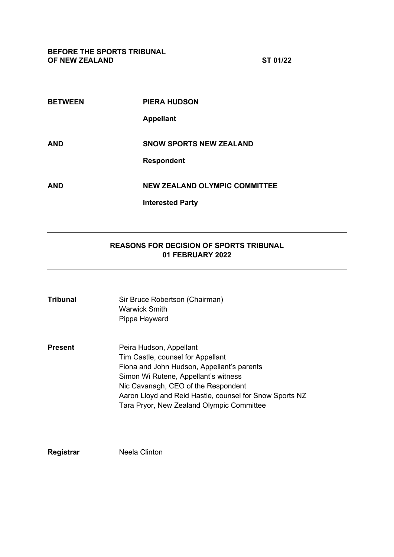| ٠,<br>ॱ◢<br>п<br>. . |
|----------------------|
|----------------------|

| <b>BETWEEN</b> | <b>PIERA HUDSON</b>                  |
|----------------|--------------------------------------|
|                | <b>Appellant</b>                     |
| <b>AND</b>     | <b>SNOW SPORTS NEW ZEALAND</b>       |
|                | <b>Respondent</b>                    |
| <b>AND</b>     | <b>NEW ZEALAND OLYMPIC COMMITTEE</b> |
|                | <b>Interested Party</b>              |

# **REASONS FOR DECISION OF SPORTS TRIBUNAL 01 FEBRUARY 2022**

| Tribunal | Sir Bruce Robertson (Chairman)<br>Warwick Smith<br>Pippa Hayward                                                                                                                                                                                                                                  |
|----------|---------------------------------------------------------------------------------------------------------------------------------------------------------------------------------------------------------------------------------------------------------------------------------------------------|
| Present  | Peira Hudson, Appellant<br>Tim Castle, counsel for Appellant<br>Fiona and John Hudson, Appellant's parents<br>Simon Wi Rutene, Appellant's witness<br>Nic Cavanagh, CEO of the Respondent<br>Aaron Lloyd and Reid Hastie, counsel for Snow Sports NZ<br>Tara Pryor, New Zealand Olympic Committee |

**Registrar** Neela Clinton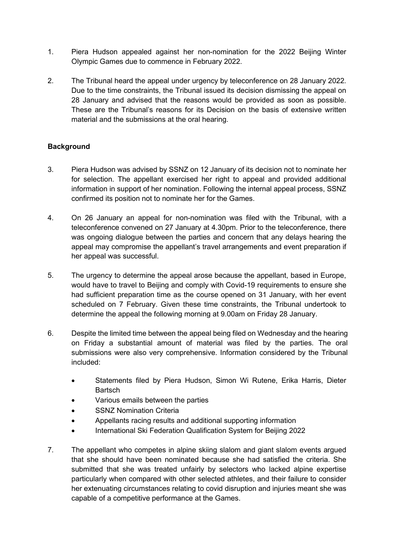- 1. Piera Hudson appealed against her non-nomination for the 2022 Beijing Winter Olympic Games due to commence in February 2022.
- 2. The Tribunal heard the appeal under urgency by teleconference on 28 January 2022. Due to the time constraints, the Tribunal issued its decision dismissing the appeal on 28 January and advised that the reasons would be provided as soon as possible. These are the Tribunal's reasons for its Decision on the basis of extensive written material and the submissions at the oral hearing.

## **Background**

- 3. Piera Hudson was advised by SSNZ on 12 January of its decision not to nominate her for selection. The appellant exercised her right to appeal and provided additional information in support of her nomination. Following the internal appeal process, SSNZ confirmed its position not to nominate her for the Games.
- 4. On 26 January an appeal for non-nomination was filed with the Tribunal, with a teleconference convened on 27 January at 4.30pm. Prior to the teleconference, there was ongoing dialogue between the parties and concern that any delays hearing the appeal may compromise the appellant's travel arrangements and event preparation if her appeal was successful.
- 5. The urgency to determine the appeal arose because the appellant, based in Europe, would have to travel to Beijing and comply with Covid-19 requirements to ensure she had sufficient preparation time as the course opened on 31 January, with her event scheduled on 7 February. Given these time constraints, the Tribunal undertook to determine the appeal the following morning at 9.00am on Friday 28 January.
- 6. Despite the limited time between the appeal being filed on Wednesday and the hearing on Friday a substantial amount of material was filed by the parties. The oral submissions were also very comprehensive. Information considered by the Tribunal included:
	- Statements filed by Piera Hudson, Simon Wi Rutene, Erika Harris, Dieter **Bartsch**
	- Various emails between the parties
	- **SSNZ Nomination Criteria**
	- Appellants racing results and additional supporting information
	- International Ski Federation Qualification System for Beijing 2022
- 7. The appellant who competes in alpine skiing slalom and giant slalom events argued that she should have been nominated because she had satisfied the criteria. She submitted that she was treated unfairly by selectors who lacked alpine expertise particularly when compared with other selected athletes, and their failure to consider her extenuating circumstances relating to covid disruption and injuries meant she was capable of a competitive performance at the Games.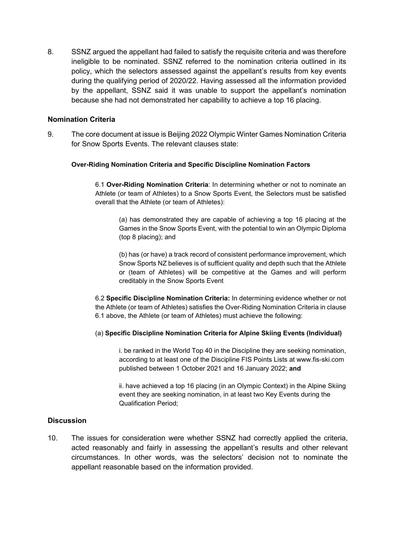8. SSNZ argued the appellant had failed to satisfy the requisite criteria and was therefore ineligible to be nominated. SSNZ referred to the nomination criteria outlined in its policy, which the selectors assessed against the appellant's results from key events during the qualifying period of 2020/22. Having assessed all the information provided by the appellant, SSNZ said it was unable to support the appellant's nomination because she had not demonstrated her capability to achieve a top 16 placing.

### **Nomination Criteria**

9. The core document at issue is Beijing 2022 Olympic Winter Games Nomination Criteria for Snow Sports Events. The relevant clauses state:

#### **Over-Riding Nomination Criteria and Specific Discipline Nomination Factors**

6.1 **Over-Riding Nomination Criteria**: In determining whether or not to nominate an Athlete (or team of Athletes) to a Snow Sports Event, the Selectors must be satisfied overall that the Athlete (or team of Athletes):

(a) has demonstrated they are capable of achieving a top 16 placing at the Games in the Snow Sports Event, with the potential to win an Olympic Diploma (top 8 placing); and

(b) has (or have) a track record of consistent performance improvement, which Snow Sports NZ believes is of sufficient quality and depth such that the Athlete or (team of Athletes) will be competitive at the Games and will perform creditably in the Snow Sports Event

6.2 **Specific Discipline Nomination Criteria:** In determining evidence whether or not the Athlete (or team of Athletes) satisfies the Over-Riding Nomination Criteria in clause 6.1 above, the Athlete (or team of Athletes) must achieve the following:

#### (a) **Specific Discipline Nomination Criteria for Alpine Skiing Events (Individual)**

i. be ranked in the World Top 40 in the Discipline they are seeking nomination, according to at least one of the Discipline FIS Points Lists at www.fis-ski.com published between 1 October 2021 and 16 January 2022; **and**

ii. have achieved a top 16 placing (in an Olympic Context) in the Alpine Skiing event they are seeking nomination, in at least two Key Events during the Qualification Period;

#### **Discussion**

10. The issues for consideration were whether SSNZ had correctly applied the criteria, acted reasonably and fairly in assessing the appellant's results and other relevant circumstances. In other words, was the selectors' decision not to nominate the appellant reasonable based on the information provided.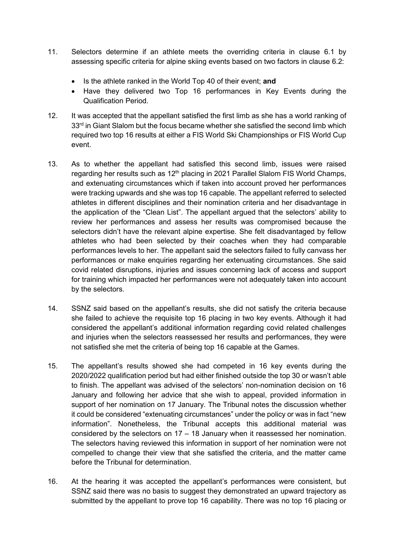- 11. Selectors determine if an athlete meets the overriding criteria in clause 6.1 by assessing specific criteria for alpine skiing events based on two factors in clause 6.2:
	- Is the athlete ranked in the World Top 40 of their event; **and**
	- Have they delivered two Top 16 performances in Key Events during the Qualification Period.
- 12. It was accepted that the appellant satisfied the first limb as she has a world ranking of 33<sup>rd</sup> in Giant Slalom but the focus became whether she satisfied the second limb which required two top 16 results at either a FIS World Ski Championships or FIS World Cup event.
- 13. As to whether the appellant had satisfied this second limb, issues were raised regarding her results such as 12<sup>th</sup> placing in 2021 Parallel Slalom FIS World Champs, and extenuating circumstances which if taken into account proved her performances were tracking upwards and she was top 16 capable. The appellant referred to selected athletes in different disciplines and their nomination criteria and her disadvantage in the application of the "Clean List". The appellant argued that the selectors' ability to review her performances and assess her results was compromised because the selectors didn't have the relevant alpine expertise. She felt disadvantaged by fellow athletes who had been selected by their coaches when they had comparable performances levels to her. The appellant said the selectors failed to fully canvass her performances or make enquiries regarding her extenuating circumstances. She said covid related disruptions, injuries and issues concerning lack of access and support for training which impacted her performances were not adequately taken into account by the selectors.
- 14. SSNZ said based on the appellant's results, she did not satisfy the criteria because she failed to achieve the requisite top 16 placing in two key events. Although it had considered the appellant's additional information regarding covid related challenges and injuries when the selectors reassessed her results and performances, they were not satisfied she met the criteria of being top 16 capable at the Games.
- 15. The appellant's results showed she had competed in 16 key events during the 2020/2022 qualification period but had either finished outside the top 30 or wasn't able to finish. The appellant was advised of the selectors' non-nomination decision on 16 January and following her advice that she wish to appeal, provided information in support of her nomination on 17 January. The Tribunal notes the discussion whether it could be considered "extenuating circumstances" under the policy or was in fact "new information". Nonetheless, the Tribunal accepts this additional material was considered by the selectors on 17 – 18 January when it reassessed her nomination. The selectors having reviewed this information in support of her nomination were not compelled to change their view that she satisfied the criteria, and the matter came before the Tribunal for determination.
- 16. At the hearing it was accepted the appellant's performances were consistent, but SSNZ said there was no basis to suggest they demonstrated an upward trajectory as submitted by the appellant to prove top 16 capability. There was no top 16 placing or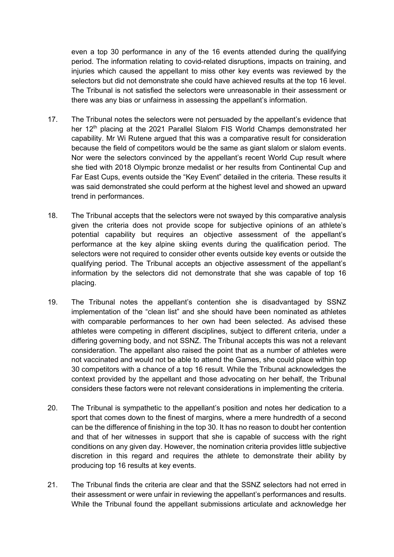even a top 30 performance in any of the 16 events attended during the qualifying period. The information relating to covid-related disruptions, impacts on training, and injuries which caused the appellant to miss other key events was reviewed by the selectors but did not demonstrate she could have achieved results at the top 16 level. The Tribunal is not satisfied the selectors were unreasonable in their assessment or there was any bias or unfairness in assessing the appellant's information.

- 17. The Tribunal notes the selectors were not persuaded by the appellant's evidence that her 12<sup>th</sup> placing at the 2021 Parallel Slalom FIS World Champs demonstrated her capability. Mr Wi Rutene argued that this was a comparative result for consideration because the field of competitors would be the same as giant slalom or slalom events. Nor were the selectors convinced by the appellant's recent World Cup result where she tied with 2018 Olympic bronze medalist or her results from Continental Cup and Far East Cups, events outside the "Key Event" detailed in the criteria. These results it was said demonstrated she could perform at the highest level and showed an upward trend in performances.
- 18. The Tribunal accepts that the selectors were not swayed by this comparative analysis given the criteria does not provide scope for subjective opinions of an athlete's potential capability but requires an objective assessment of the appellant's performance at the key alpine skiing events during the qualification period. The selectors were not required to consider other events outside key events or outside the qualifying period. The Tribunal accepts an objective assessment of the appellant's information by the selectors did not demonstrate that she was capable of top 16 placing.
- 19. The Tribunal notes the appellant's contention she is disadvantaged by SSNZ implementation of the "clean list" and she should have been nominated as athletes with comparable performances to her own had been selected. As advised these athletes were competing in different disciplines, subject to different criteria, under a differing governing body, and not SSNZ. The Tribunal accepts this was not a relevant consideration. The appellant also raised the point that as a number of athletes were not vaccinated and would not be able to attend the Games, she could place within top 30 competitors with a chance of a top 16 result. While the Tribunal acknowledges the context provided by the appellant and those advocating on her behalf, the Tribunal considers these factors were not relevant considerations in implementing the criteria.
- 20. The Tribunal is sympathetic to the appellant's position and notes her dedication to a sport that comes down to the finest of margins, where a mere hundredth of a second can be the difference of finishing in the top 30. It has no reason to doubt her contention and that of her witnesses in support that she is capable of success with the right conditions on any given day. However, the nomination criteria provides little subjective discretion in this regard and requires the athlete to demonstrate their ability by producing top 16 results at key events.
- 21. The Tribunal finds the criteria are clear and that the SSNZ selectors had not erred in their assessment or were unfair in reviewing the appellant's performances and results. While the Tribunal found the appellant submissions articulate and acknowledge her